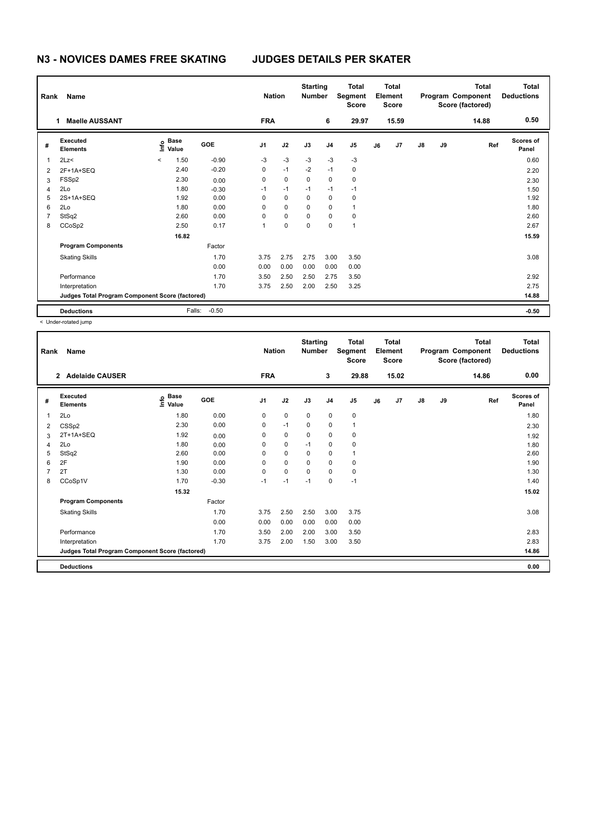## **N3 - NOVICES DAMES FREE SKATING JUDGES DETAILS PER SKATER**

| Rank           | Name                                            |                                  | <b>Nation</b> |                | <b>Starting</b><br><b>Number</b> | <b>Total</b><br>Segment<br><b>Score</b> | Total<br>Element<br><b>Score</b> |                | <b>Total</b><br>Program Component<br>Score (factored) |       |               | <b>Total</b><br><b>Deductions</b> |       |                           |
|----------------|-------------------------------------------------|----------------------------------|---------------|----------------|----------------------------------|-----------------------------------------|----------------------------------|----------------|-------------------------------------------------------|-------|---------------|-----------------------------------|-------|---------------------------|
|                | <b>Maelle AUSSANT</b><br>1                      |                                  |               | <b>FRA</b>     |                                  |                                         | 6                                | 29.97          |                                                       | 15.59 |               |                                   | 14.88 | 0.50                      |
| #              | Executed<br><b>Elements</b>                     | <b>Base</b><br>e Base<br>⊆ Value | GOE           | J <sub>1</sub> | J2                               | J3                                      | J <sub>4</sub>                   | J <sub>5</sub> | J6                                                    | J7    | $\mathsf{J}8$ | J9                                | Ref   | <b>Scores of</b><br>Panel |
| 1              | 2Lz                                             | 1.50<br>$\prec$                  | $-0.90$       | -3             | $-3$                             | $-3$                                    | $-3$                             | $-3$           |                                                       |       |               |                                   |       | 0.60                      |
| $\overline{2}$ | 2F+1A+SEQ                                       | 2.40                             | $-0.20$       | 0              | $-1$                             | $-2$                                    | $-1$                             | 0              |                                                       |       |               |                                   |       | 2.20                      |
| 3              | FSSp2                                           | 2.30                             | 0.00          | 0              | $\mathbf 0$                      | 0                                       | $\mathbf 0$                      | $\pmb{0}$      |                                                       |       |               |                                   |       | 2.30                      |
| 4              | 2Lo                                             | 1.80                             | $-0.30$       | $-1$           | $-1$                             | $-1$                                    | $-1$                             | $-1$           |                                                       |       |               |                                   |       | 1.50                      |
| 5              | 2S+1A+SEQ                                       | 1.92                             | 0.00          | 0              | $\mathbf 0$                      | 0                                       | $\mathbf 0$                      | $\pmb{0}$      |                                                       |       |               |                                   |       | 1.92                      |
| 6              | 2Lo                                             | 1.80                             | 0.00          | 0              | $\mathbf 0$                      | 0                                       | 0                                | $\mathbf{1}$   |                                                       |       |               |                                   |       | 1.80                      |
| 7              | StSq2                                           | 2.60                             | 0.00          | 0              | $\mathbf 0$                      | 0                                       | $\mathbf 0$                      | $\pmb{0}$      |                                                       |       |               |                                   |       | 2.60                      |
| 8              | CCoSp2                                          | 2.50                             | 0.17          | 1              | 0                                | 0                                       | 0                                | $\overline{1}$ |                                                       |       |               |                                   |       | 2.67                      |
|                |                                                 | 16.82                            |               |                |                                  |                                         |                                  |                |                                                       |       |               |                                   |       | 15.59                     |
|                | <b>Program Components</b>                       |                                  | Factor        |                |                                  |                                         |                                  |                |                                                       |       |               |                                   |       |                           |
|                | <b>Skating Skills</b>                           |                                  | 1.70          | 3.75           | 2.75                             | 2.75                                    | 3.00                             | 3.50           |                                                       |       |               |                                   |       | 3.08                      |
|                |                                                 |                                  | 0.00          | 0.00           | 0.00                             | 0.00                                    | 0.00                             | 0.00           |                                                       |       |               |                                   |       |                           |
|                | Performance                                     |                                  | 1.70          | 3.50           | 2.50                             | 2.50                                    | 2.75                             | 3.50           |                                                       |       |               |                                   |       | 2.92                      |
|                | Interpretation                                  |                                  | 1.70          | 3.75           | 2.50                             | 2.00                                    | 2.50                             | 3.25           |                                                       |       |               |                                   |       | 2.75                      |
|                | Judges Total Program Component Score (factored) |                                  |               |                |                                  |                                         |                                  |                |                                                       |       |               |                                   |       | 14.88                     |
|                | <b>Deductions</b>                               | Falls:                           | $-0.50$       |                |                                  |                                         |                                  |                |                                                       |       |               |                                   |       | $-0.50$                   |

< Under-rotated jump

| Rank | Name                                            |                                   |         | <b>Nation</b>  |             | <b>Starting</b><br><b>Number</b> |                | <b>Total</b><br>Segment<br><b>Score</b> |    | <b>Total</b><br>Element<br><b>Score</b> |               |    | <b>Total</b><br>Program Component<br>Score (factored) | <b>Total</b><br><b>Deductions</b> |
|------|-------------------------------------------------|-----------------------------------|---------|----------------|-------------|----------------------------------|----------------|-----------------------------------------|----|-----------------------------------------|---------------|----|-------------------------------------------------------|-----------------------------------|
|      | <b>Adelaide CAUSER</b><br>$\overline{2}$        |                                   |         | <b>FRA</b>     |             |                                  | 3              | 29.88                                   |    | 15.02                                   |               |    | 14.86                                                 | 0.00                              |
| #    | Executed<br><b>Elements</b>                     | $\overset{\circ}{\text{E}}$ Value | GOE     | J <sub>1</sub> | J2          | J3                               | J <sub>4</sub> | J <sub>5</sub>                          | J6 | J <sub>7</sub>                          | $\mathsf{J}8$ | J9 | Ref                                                   | Scores of<br>Panel                |
| 1    | 2Lo                                             | 1.80                              | 0.00    | 0              | $\mathbf 0$ | $\mathbf 0$                      | $\mathbf 0$    | 0                                       |    |                                         |               |    |                                                       | 1.80                              |
| 2    | CSSp2                                           | 2.30                              | 0.00    | 0              | $-1$        | 0                                | $\mathbf 0$    | $\mathbf{1}$                            |    |                                         |               |    |                                                       | 2.30                              |
| 3    | 2T+1A+SEQ                                       | 1.92                              | 0.00    | 0              | $\mathbf 0$ | 0                                | $\mathbf 0$    | $\mathbf 0$                             |    |                                         |               |    |                                                       | 1.92                              |
| 4    | 2Lo                                             | 1.80                              | 0.00    | 0              | $\mathbf 0$ | $-1$                             | $\mathbf 0$    | $\mathbf 0$                             |    |                                         |               |    |                                                       | 1.80                              |
| 5    | StSq2                                           | 2.60                              | 0.00    | 0              | $\mathbf 0$ | $\mathbf 0$                      | $\pmb{0}$      | 1                                       |    |                                         |               |    |                                                       | 2.60                              |
| 6    | 2F                                              | 1.90                              | 0.00    | 0              | 0           | 0                                | 0              | $\mathbf 0$                             |    |                                         |               |    |                                                       | 1.90                              |
| 7    | 2T                                              | 1.30                              | 0.00    | 0              | $\mathbf 0$ | 0                                | $\mathbf 0$    | 0                                       |    |                                         |               |    |                                                       | 1.30                              |
| 8    | CCoSp1V                                         | 1.70                              | $-0.30$ | $-1$           | $-1$        | $-1$                             | $\mathbf 0$    | $-1$                                    |    |                                         |               |    |                                                       | 1.40                              |
|      |                                                 | 15.32                             |         |                |             |                                  |                |                                         |    |                                         |               |    |                                                       | 15.02                             |
|      | <b>Program Components</b>                       |                                   | Factor  |                |             |                                  |                |                                         |    |                                         |               |    |                                                       |                                   |
|      | <b>Skating Skills</b>                           |                                   | 1.70    | 3.75           | 2.50        | 2.50                             | 3.00           | 3.75                                    |    |                                         |               |    |                                                       | 3.08                              |
|      |                                                 |                                   | 0.00    | 0.00           | 0.00        | 0.00                             | 0.00           | 0.00                                    |    |                                         |               |    |                                                       |                                   |
|      | Performance                                     |                                   | 1.70    | 3.50           | 2.00        | 2.00                             | 3.00           | 3.50                                    |    |                                         |               |    |                                                       | 2.83                              |
|      | Interpretation                                  |                                   | 1.70    | 3.75           | 2.00        | 1.50                             | 3.00           | 3.50                                    |    |                                         |               |    |                                                       | 2.83                              |
|      | Judges Total Program Component Score (factored) |                                   |         |                |             |                                  |                |                                         |    |                                         |               |    |                                                       | 14.86                             |
|      | <b>Deductions</b>                               |                                   |         |                |             |                                  |                |                                         |    |                                         |               |    |                                                       | 0.00                              |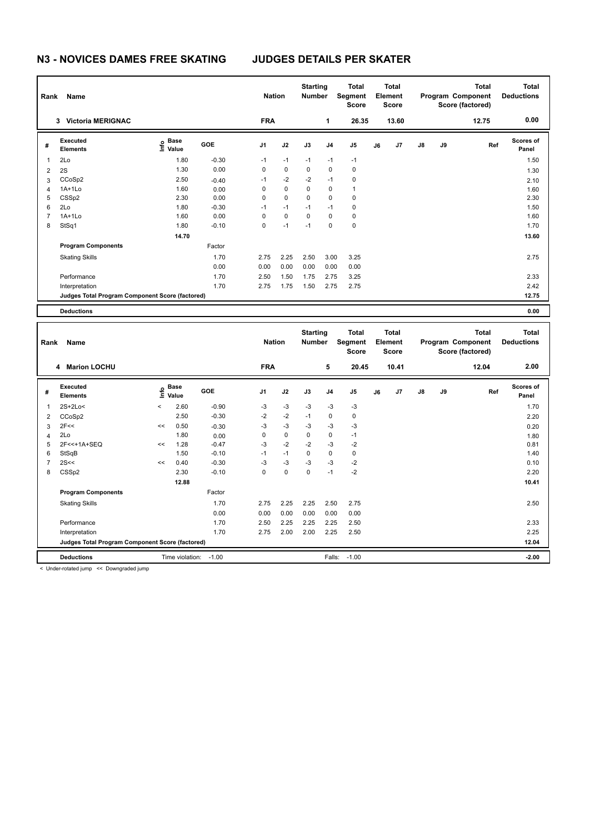## **N3 - NOVICES DAMES FREE SKATING JUDGES DETAILS PER SKATER**

| Name<br>Rank   |                                                 |                                             |         |                | <b>Nation</b> |             | <b>Starting</b><br><b>Number</b> | <b>Total</b><br>Segment<br><b>Score</b> | Total<br>Element<br>Score |       | Program Component<br>Score (factored) |    | <b>Total</b> | <b>Total</b><br><b>Deductions</b> |
|----------------|-------------------------------------------------|---------------------------------------------|---------|----------------|---------------|-------------|----------------------------------|-----------------------------------------|---------------------------|-------|---------------------------------------|----|--------------|-----------------------------------|
|                | <b>Victoria MERIGNAC</b><br>3                   |                                             |         | <b>FRA</b>     |               |             | 1                                | 26.35                                   |                           | 13.60 |                                       |    | 12.75        | 0.00                              |
| #              | Executed<br><b>Elements</b>                     | <b>Base</b><br>은 <sup>Base</sup><br>⊆ Value | GOE     | J <sub>1</sub> | J2            | J3          | J <sub>4</sub>                   | J <sub>5</sub>                          | J6                        | J7    | $\mathsf{J}8$                         | J9 | Ref          | <b>Scores of</b><br>Panel         |
| $\overline{1}$ | 2Lo                                             | 1.80                                        | $-0.30$ | $-1$           | $-1$          | $-1$        | $-1$                             | $-1$                                    |                           |       |                                       |    |              | 1.50                              |
| $\overline{2}$ | 2S                                              | 1.30                                        | 0.00    | 0              | $\mathbf 0$   | $\mathbf 0$ | $\mathbf 0$                      | $\mathbf 0$                             |                           |       |                                       |    |              | 1.30                              |
| 3              | CCoSp2                                          | 2.50                                        | $-0.40$ | $-1$           | $-2$          | $-2$        | $-1$                             | 0                                       |                           |       |                                       |    |              | 2.10                              |
| 4              | 1A+1Lo                                          | 1.60                                        | 0.00    | 0              | $\mathbf 0$   | 0           | 0                                | $\overline{1}$                          |                           |       |                                       |    |              | 1.60                              |
| 5              | CSSp2                                           | 2.30                                        | 0.00    | 0              | 0             | $\mathbf 0$ | $\mathbf 0$                      | $\mathbf 0$                             |                           |       |                                       |    |              | 2.30                              |
| 6              | 2Lo                                             | 1.80                                        | $-0.30$ | $-1$           | $-1$          | $-1$        | $-1$                             | 0                                       |                           |       |                                       |    |              | 1.50                              |
| $\overline{7}$ | $1A+1Lo$                                        | 1.60                                        | 0.00    | 0              | $\mathbf 0$   | $\Omega$    | $\mathbf 0$                      | $\mathbf 0$                             |                           |       |                                       |    |              | 1.60                              |
| 8              | StSq1                                           | 1.80                                        | $-0.10$ | 0              | $-1$          | $-1$        | 0                                | 0                                       |                           |       |                                       |    |              | 1.70                              |
|                |                                                 | 14.70                                       |         |                |               |             |                                  |                                         |                           |       |                                       |    |              | 13.60                             |
|                | <b>Program Components</b>                       |                                             | Factor  |                |               |             |                                  |                                         |                           |       |                                       |    |              |                                   |
|                | <b>Skating Skills</b>                           |                                             | 1.70    | 2.75           | 2.25          | 2.50        | 3.00                             | 3.25                                    |                           |       |                                       |    |              | 2.75                              |
|                |                                                 |                                             | 0.00    | 0.00           | 0.00          | 0.00        | 0.00                             | 0.00                                    |                           |       |                                       |    |              |                                   |
|                | Performance                                     |                                             | 1.70    | 2.50           | 1.50          | 1.75        | 2.75                             | 3.25                                    |                           |       |                                       |    |              | 2.33                              |
|                | Interpretation                                  |                                             | 1.70    | 2.75           | 1.75          | 1.50        | 2.75                             | 2.75                                    |                           |       |                                       |    |              | 2.42                              |
|                | Judges Total Program Component Score (factored) |                                             |         |                |               |             |                                  |                                         |                           |       |                                       |    |              | 12.75                             |
|                | <b>Deductions</b>                               |                                             |         |                |               |             |                                  |                                         |                           |       |                                       |    |              | 0.00                              |

| Rank           | <b>Name</b>                                     |         | <b>Nation</b>        |         | <b>Starting</b><br><b>Number</b> | <b>Total</b><br>Segment<br><b>Score</b> | <b>Total</b><br>Element<br><b>Score</b> |                |                |    | <b>Total</b><br>Program Component<br>Score (factored) | <b>Total</b><br><b>Deductions</b> |    |       |                           |
|----------------|-------------------------------------------------|---------|----------------------|---------|----------------------------------|-----------------------------------------|-----------------------------------------|----------------|----------------|----|-------------------------------------------------------|-----------------------------------|----|-------|---------------------------|
|                | <b>Marion LOCHU</b><br>4                        |         |                      |         | <b>FRA</b>                       |                                         |                                         | 5              | 20.45          |    | 10.41                                                 |                                   |    | 12.04 | 2.00                      |
| #              | Executed<br><b>Elements</b>                     | ۴۵      | <b>Base</b><br>Value | GOE     | J <sub>1</sub>                   | J2                                      | J3                                      | J <sub>4</sub> | J <sub>5</sub> | J6 | J7                                                    | $\mathsf{J}8$                     | J9 | Ref   | <b>Scores of</b><br>Panel |
| 1              | $2S+2Lo<$                                       | $\prec$ | 2.60                 | $-0.90$ | $-3$                             | $-3$                                    | $-3$                                    | $-3$           | $-3$           |    |                                                       |                                   |    |       | 1.70                      |
| 2              | CCoSp2                                          |         | 2.50                 | $-0.30$ | $-2$                             | $-2$                                    | $-1$                                    | $\mathbf 0$    | 0              |    |                                                       |                                   |    |       | 2.20                      |
| 3              | 2F<<                                            | <<      | 0.50                 | $-0.30$ | $-3$                             | $-3$                                    | $-3$                                    | $-3$           | $-3$           |    |                                                       |                                   |    |       | 0.20                      |
| 4              | 2Lo                                             |         | 1.80                 | 0.00    | $\Omega$                         | $\pmb{0}$                               | $\mathbf 0$                             | 0              | $-1$           |    |                                                       |                                   |    |       | 1.80                      |
| 5              | 2F<<+1A+SEQ                                     | <<      | 1.28                 | $-0.47$ | $-3$                             | $-2$                                    | $-2$                                    | $-3$           | $-2$           |    |                                                       |                                   |    |       | 0.81                      |
| 6              | StSqB                                           |         | 1.50                 | $-0.10$ | $-1$                             | $-1$                                    | 0                                       | 0              | 0              |    |                                                       |                                   |    |       | 1.40                      |
| $\overline{7}$ | 2S<<                                            | <<      | 0.40                 | $-0.30$ | $-3$                             | $-3$                                    | $-3$                                    | $-3$           | $-2$           |    |                                                       |                                   |    |       | 0.10                      |
| 8              | CSSp2                                           |         | 2.30                 | $-0.10$ | $\mathbf 0$                      | $\pmb{0}$                               | $\mathbf 0$                             | $-1$           | $-2$           |    |                                                       |                                   |    |       | 2.20                      |
|                |                                                 |         | 12.88                |         |                                  |                                         |                                         |                |                |    |                                                       |                                   |    |       | 10.41                     |
|                | <b>Program Components</b>                       |         |                      | Factor  |                                  |                                         |                                         |                |                |    |                                                       |                                   |    |       |                           |
|                | <b>Skating Skills</b>                           |         |                      | 1.70    | 2.75                             | 2.25                                    | 2.25                                    | 2.50           | 2.75           |    |                                                       |                                   |    |       | 2.50                      |
|                |                                                 |         |                      | 0.00    | 0.00                             | 0.00                                    | 0.00                                    | 0.00           | 0.00           |    |                                                       |                                   |    |       |                           |
|                | Performance                                     |         |                      | 1.70    | 2.50                             | 2.25                                    | 2.25                                    | 2.25           | 2.50           |    |                                                       |                                   |    |       | 2.33                      |
|                | Interpretation                                  |         |                      | 1.70    | 2.75                             | 2.00                                    | 2.00                                    | 2.25           | 2.50           |    |                                                       |                                   |    |       | 2.25                      |
|                | Judges Total Program Component Score (factored) |         |                      |         |                                  |                                         |                                         |                |                |    |                                                       | 12.04                             |    |       |                           |
|                | <b>Deductions</b>                               |         | Time violation:      | $-1.00$ |                                  |                                         |                                         | Falls:         | $-1.00$        |    |                                                       |                                   |    |       | $-2.00$                   |

< Under-rotated jump << Downgraded jump